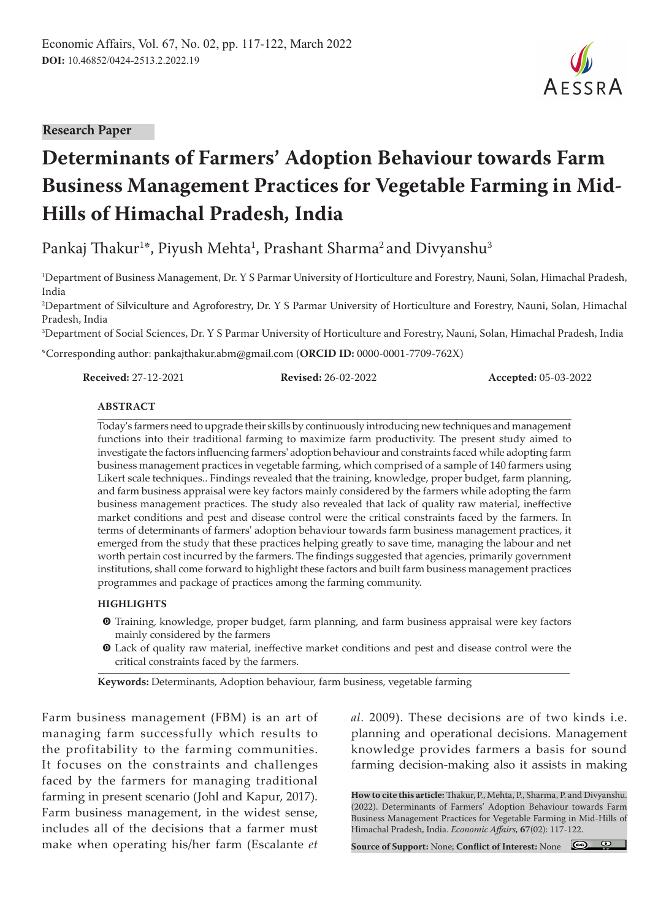#### **Research Paper**

# **Determinants of Farmers' Adoption Behaviour towards Farm Business Management Practices for Vegetable Farming in Mid-Hills of Himachal Pradesh, India**

Pankaj Thakur $^{1*}$ , Piyush Mehta $^{1}$ , Prashant Sharma $^{2}$ and Divyanshu $^{3}$ 

1 Department of Business Management, Dr. Y S Parmar University of Horticulture and Forestry, Nauni, Solan, Himachal Pradesh, India

2 Department of Silviculture and Agroforestry, Dr. Y S Parmar University of Horticulture and Forestry, Nauni, Solan, Himachal Pradesh, India

3 Department of Social Sciences, Dr. Y S Parmar University of Horticulture and Forestry, Nauni, Solan, Himachal Pradesh, India

\*Corresponding author: pankajthakur.abm@gmail.com (**ORCID ID:** 0000-0001-7709-762X)

**Received:** 27-12-2021 **Revised:** 26-02-2022 **Accepted:** 05-03-2022

#### **ABSTRACT**

Today's farmers need to upgrade their skills by continuously introducing new techniques and management functions into their traditional farming to maximize farm productivity. The present study aimed to investigate the factors influencing farmers' adoption behaviour and constraints faced while adopting farm business management practices in vegetable farming, which comprised of a sample of 140 farmers using Likert scale techniques.. Findings revealed that the training, knowledge, proper budget, farm planning, and farm business appraisal were key factors mainly considered by the farmers while adopting the farm business management practices. The study also revealed that lack of quality raw material, ineffective market conditions and pest and disease control were the critical constraints faced by the farmers. In terms of determinants of farmers' adoption behaviour towards farm business management practices, it emerged from the study that these practices helping greatly to save time, managing the labour and net worth pertain cost incurred by the farmers. The findings suggested that agencies, primarily government institutions, shall come forward to highlight these factors and built farm business management practices programmes and package of practices among the farming community.

#### **HIGHLIGHTS**

- m Training, knowledge, proper budget, farm planning, and farm business appraisal were key factors mainly considered by the farmers
- $\bullet$  Lack of quality raw material, ineffective market conditions and pest and disease control were the critical constraints faced by the farmers.

**Keywords:** Determinants, Adoption behaviour, farm business, vegetable farming

Farm business management (FBM) is an art of managing farm successfully which results to the profitability to the farming communities. It focuses on the constraints and challenges faced by the farmers for managing traditional farming in present scenario (Johl and Kapur, 2017). Farm business management, in the widest sense, includes all of the decisions that a farmer must make when operating his/her farm (Escalante *et* 

*al.* 2009). These decisions are of two kinds i.e. planning and operational decisions. Management knowledge provides farmers a basis for sound farming decision-making also it assists in making

**How to cite this article:** Thakur, P., Mehta, P., Sharma, P. and Divyanshu. (2022). Determinants of Farmers' Adoption Behaviour towards Farm Business Management Practices for Vegetable Farming in Mid-Hills of Himachal Pradesh, India. *Economic Affairs,* **67**(02): 117-122.

**Source of Support:** None; **Conflict of Interest:** None

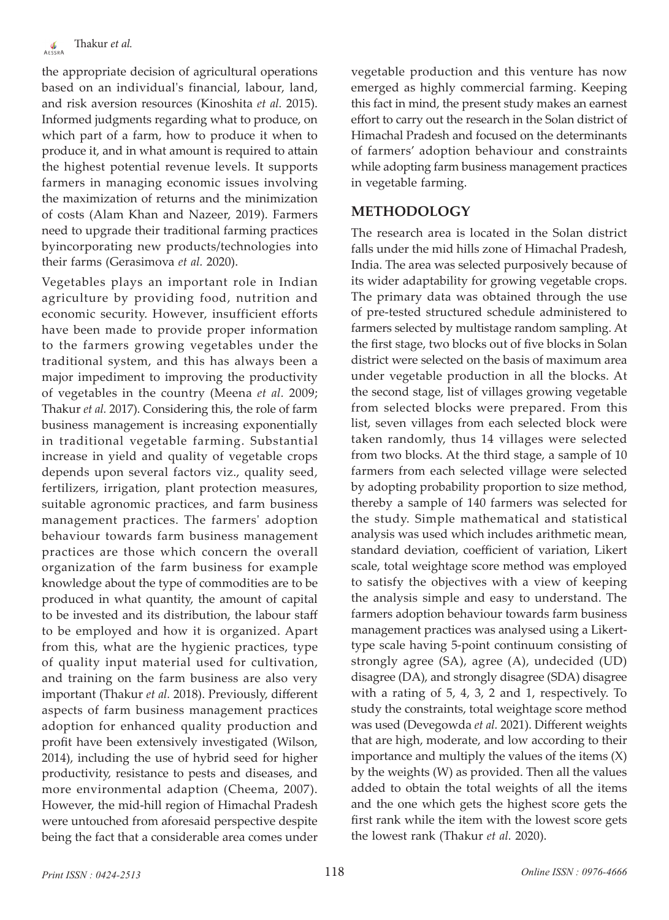the appropriate decision of agricultural operations based on an individual's financial, labour, land, and risk aversion resources (Kinoshita *et al.* 2015). Informed judgments regarding what to produce, on which part of a farm, how to produce it when to produce it, and in what amount is required to attain the highest potential revenue levels. It supports farmers in managing economic issues involving the maximization of returns and the minimization of costs (Alam Khan and Nazeer, 2019). Farmers need to upgrade their traditional farming practices byincorporating new products/technologies into their farms (Gerasimova *et al.* 2020).

Vegetables plays an important role in Indian agriculture by providing food, nutrition and economic security. However, insufficient efforts have been made to provide proper information to the farmers growing vegetables under the traditional system, and this has always been a major impediment to improving the productivity of vegetables in the country (Meena *et al.* 2009; Thakur *et al.* 2017). Considering this, the role of farm business management is increasing exponentially in traditional vegetable farming. Substantial increase in yield and quality of vegetable crops depends upon several factors viz., quality seed, fertilizers, irrigation, plant protection measures, suitable agronomic practices, and farm business management practices. The farmers' adoption behaviour towards farm business management practices are those which concern the overall organization of the farm business for example knowledge about the type of commodities are to be produced in what quantity, the amount of capital to be invested and its distribution, the labour staff to be employed and how it is organized. Apart from this, what are the hygienic practices, type of quality input material used for cultivation, and training on the farm business are also very important (Thakur *et al.* 2018). Previously, different aspects of farm business management practices adoption for enhanced quality production and profit have been extensively investigated (Wilson, 2014), including the use of hybrid seed for higher productivity, resistance to pests and diseases, and more environmental adaption (Cheema, 2007). However, the mid-hill region of Himachal Pradesh were untouched from aforesaid perspective despite being the fact that a considerable area comes under

vegetable production and this venture has now emerged as highly commercial farming. Keeping this fact in mind, the present study makes an earnest effort to carry out the research in the Solan district of Himachal Pradesh and focused on the determinants of farmers' adoption behaviour and constraints while adopting farm business management practices in vegetable farming.

## **METHODOLOGY**

The research area is located in the Solan district falls under the mid hills zone of Himachal Pradesh, India. The area was selected purposively because of its wider adaptability for growing vegetable crops. The primary data was obtained through the use of pre-tested structured schedule administered to farmers selected by multistage random sampling. At the first stage, two blocks out of five blocks in Solan district were selected on the basis of maximum area under vegetable production in all the blocks. At the second stage, list of villages growing vegetable from selected blocks were prepared. From this list, seven villages from each selected block were taken randomly, thus 14 villages were selected from two blocks. At the third stage, a sample of 10 farmers from each selected village were selected by adopting probability proportion to size method, thereby a sample of 140 farmers was selected for the study. Simple mathematical and statistical analysis was used which includes arithmetic mean, standard deviation, coefficient of variation, Likert scale, total weightage score method was employed to satisfy the objectives with a view of keeping the analysis simple and easy to understand. The farmers adoption behaviour towards farm business management practices was analysed using a Likerttype scale having 5-point continuum consisting of strongly agree (SA), agree (A), undecided (UD) disagree (DA), and strongly disagree (SDA) disagree with a rating of 5, 4, 3, 2 and 1, respectively. To study the constraints, total weightage score method was used (Devegowda *et al.* 2021). Different weights that are high, moderate, and low according to their importance and multiply the values of the items  $(X)$ by the weights (W) as provided. Then all the values added to obtain the total weights of all the items and the one which gets the highest score gets the first rank while the item with the lowest score gets the lowest rank (Thakur *et al.* 2020).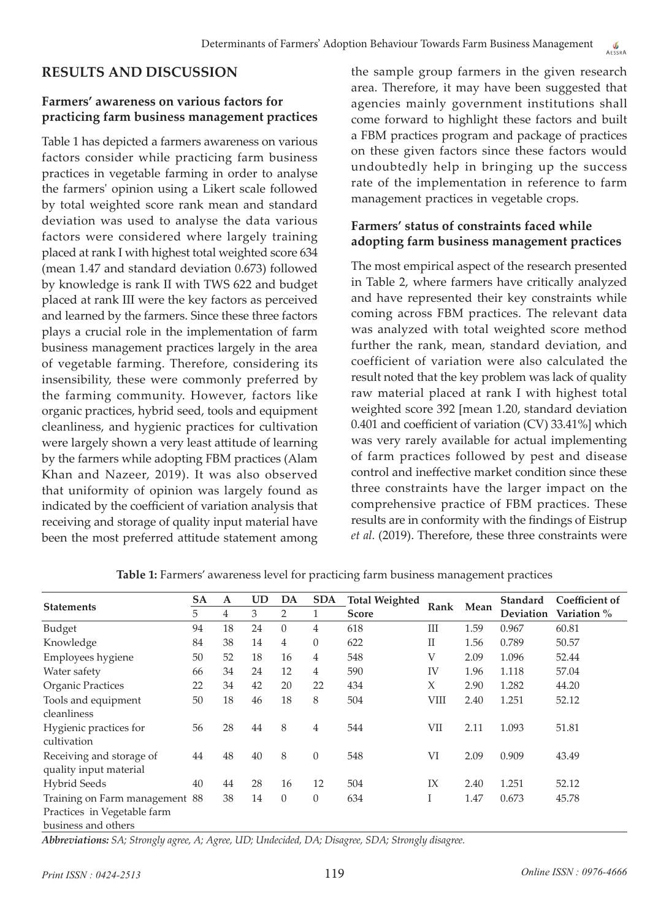## **RESULTS AND DISCUSSION**

#### **Farmers' awareness on various factors for practicing farm business management practices**

Table 1 has depicted a farmers awareness on various factors consider while practicing farm business practices in vegetable farming in order to analyse the farmers' opinion using a Likert scale followed by total weighted score rank mean and standard deviation was used to analyse the data various factors were considered where largely training placed at rank I with highest total weighted score 634 (mean 1.47 and standard deviation 0.673) followed by knowledge is rank II with TWS 622 and budget placed at rank III were the key factors as perceived and learned by the farmers. Since these three factors plays a crucial role in the implementation of farm business management practices largely in the area of vegetable farming. Therefore, considering its insensibility, these were commonly preferred by the farming community. However, factors like organic practices, hybrid seed, tools and equipment cleanliness, and hygienic practices for cultivation were largely shown a very least attitude of learning by the farmers while adopting FBM practices (Alam Khan and Nazeer, 2019). It was also observed that uniformity of opinion was largely found as indicated by the coefficient of variation analysis that receiving and storage of quality input material have been the most preferred attitude statement among the sample group farmers in the given research area. Therefore, it may have been suggested that agencies mainly government institutions shall come forward to highlight these factors and built a FBM practices program and package of practices on these given factors since these factors would undoubtedly help in bringing up the success rate of the implementation in reference to farm management practices in vegetable crops.

#### **Farmers' status of constraints faced while adopting farm business management practices**

The most empirical aspect of the research presented in Table 2, where farmers have critically analyzed and have represented their key constraints while coming across FBM practices. The relevant data was analyzed with total weighted score method further the rank, mean, standard deviation, and coefficient of variation were also calculated the result noted that the key problem was lack of quality raw material placed at rank I with highest total weighted score 392 [mean 1.20, standard deviation 0.401 and coefficient of variation (CV) 33.41%] which was very rarely available for actual implementing of farm practices followed by pest and disease control and ineffective market condition since these three constraints have the larger impact on the comprehensive practice of FBM practices. These results are in conformity with the findings of Eistrup *et al.* (2019). Therefore, these three constraints were

|                                | SA | <b>UD</b><br><b>SDA</b><br>DA<br>A |    | <b>Total Weighted</b> |                | Mean  | <b>Standard</b> | Coefficient of |           |             |
|--------------------------------|----|------------------------------------|----|-----------------------|----------------|-------|-----------------|----------------|-----------|-------------|
| <b>Statements</b>              | 5  | 4                                  | 3  | 2                     | $\mathbf{1}$   | Score | Rank            |                | Deviation | Variation % |
| Budget                         | 94 | 18                                 | 24 | $\Omega$              | 4              | 618   | Ш               | 1.59           | 0.967     | 60.81       |
| Knowledge                      | 84 | 38                                 | 14 | 4                     | $\theta$       | 622   | $_{\rm II}$     | 1.56           | 0.789     | 50.57       |
| Employees hygiene              | 50 | 52                                 | 18 | 16                    | 4              | 548   | V               | 2.09           | 1.096     | 52.44       |
| Water safety                   | 66 | 34                                 | 24 | 12                    | 4              | 590   | IV              | 1.96           | 1.118     | 57.04       |
| Organic Practices              | 22 | 34                                 | 42 | 20                    | 22             | 434   | X               | 2.90           | 1.282     | 44.20       |
| Tools and equipment            | 50 | 18                                 | 46 | 18                    | 8              | 504   | <b>VIII</b>     | 2.40           | 1.251     | 52.12       |
| cleanliness                    |    |                                    |    |                       |                |       |                 |                |           |             |
| Hygienic practices for         | 56 | 28                                 | 44 | 8                     | $\overline{4}$ | 544   | VII             | 2.11           | 1.093     | 51.81       |
| cultivation                    |    |                                    |    |                       |                |       |                 |                |           |             |
| Receiving and storage of       | 44 | 48                                 | 40 | 8                     | $\theta$       | 548   | VI              | 2.09           | 0.909     | 43.49       |
| quality input material         |    |                                    |    |                       |                |       |                 |                |           |             |
| <b>Hybrid Seeds</b>            | 40 | 44                                 | 28 | 16                    | 12             | 504   | IX              | 2.40           | 1.251     | 52.12       |
| Training on Farm management 88 |    | 38                                 | 14 | $\theta$              | $\theta$       | 634   | Ι               | 1.47           | 0.673     | 45.78       |
| Practices in Vegetable farm    |    |                                    |    |                       |                |       |                 |                |           |             |
| business and others            |    |                                    |    |                       |                |       |                 |                |           |             |

**Table 1:** Farmers' awareness level for practicing farm business management practices

*Abbreviations: SA; Strongly agree, A; Agree, UD; Undecided, DA; Disagree, SDA; Strongly disagree.*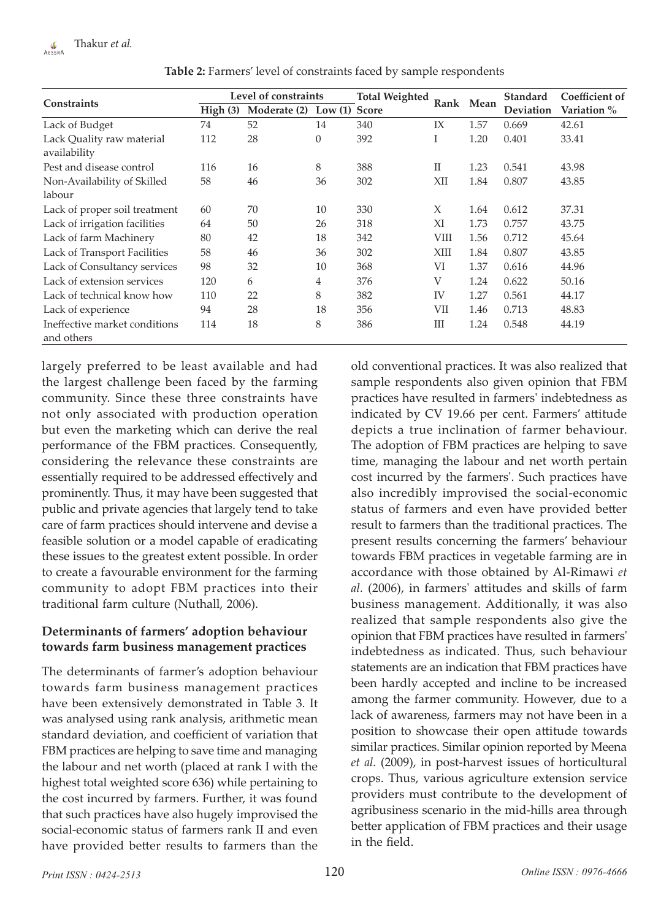| <b>Constraints</b>                          |         | Level of constraints   |          | <b>Total Weighted</b> |             | Rank Mean | <b>Standard</b>  | Coefficient of |  |
|---------------------------------------------|---------|------------------------|----------|-----------------------|-------------|-----------|------------------|----------------|--|
|                                             | High(3) | Moderate (2)<br>Low(1) |          | <b>Score</b>          |             |           | <b>Deviation</b> | Variation %    |  |
| Lack of Budget                              | 74      | 52                     | 14       | 340                   | IX          | 1.57      | 0.669            | 42.61          |  |
| Lack Quality raw material<br>availability   | 112     | 28                     | $\theta$ | 392                   | I           | 1.20      | 0.401            | 33.41          |  |
| Pest and disease control                    | 116     | 16                     | 8        | 388                   | $_{\rm II}$ | 1.23      | 0.541            | 43.98          |  |
| Non-Availability of Skilled                 | 58      | 46                     | 36       | 302                   | XII         | 1.84      | 0.807            | 43.85          |  |
| labour                                      |         |                        |          |                       |             |           |                  |                |  |
| Lack of proper soil treatment               | 60      | 70                     | 10       | 330                   | X           | 1.64      | 0.612            | 37.31          |  |
| Lack of irrigation facilities               | 64      | 50                     | 26       | 318                   | XI          | 1.73      | 0.757            | 43.75          |  |
| Lack of farm Machinery                      | 80      | 42                     | 18       | 342                   | VIII        | 1.56      | 0.712            | 45.64          |  |
| Lack of Transport Facilities                | 58      | 46                     | 36       | 302                   | XIII        | 1.84      | 0.807            | 43.85          |  |
| Lack of Consultancy services                | 98      | 32                     | 10       | 368                   | VI          | 1.37      | 0.616            | 44.96          |  |
| Lack of extension services                  | 120     | 6                      | 4        | 376                   | V           | 1.24      | 0.622            | 50.16          |  |
| Lack of technical know how                  | 110     | 22                     | 8        | 382                   | <b>IV</b>   | 1.27      | 0.561            | 44.17          |  |
| Lack of experience                          | 94      | 28                     | 18       | 356                   | VII         | 1.46      | 0.713            | 48.83          |  |
| Ineffective market conditions<br>and others | 114     | 18                     | 8        | 386                   | Ш           | 1.24      | 0.548            | 44.19          |  |

**Table 2:** Farmers' level of constraints faced by sample respondents

largely preferred to be least available and had the largest challenge been faced by the farming community. Since these three constraints have not only associated with production operation but even the marketing which can derive the real performance of the FBM practices. Consequently, considering the relevance these constraints are essentially required to be addressed effectively and prominently. Thus, it may have been suggested that public and private agencies that largely tend to take care of farm practices should intervene and devise a feasible solution or a model capable of eradicating these issues to the greatest extent possible. In order to create a favourable environment for the farming community to adopt FBM practices into their traditional farm culture (Nuthall, 2006).

#### **Determinants of farmers' adoption behaviour towards farm business management practices**

The determinants of farmer's adoption behaviour towards farm business management practices have been extensively demonstrated in Table 3. It was analysed using rank analysis, arithmetic mean standard deviation, and coefficient of variation that FBM practices are helping to save time and managing the labour and net worth (placed at rank I with the highest total weighted score 636) while pertaining to the cost incurred by farmers. Further, it was found that such practices have also hugely improvised the social-economic status of farmers rank II and even have provided better results to farmers than the old conventional practices. It was also realized that sample respondents also given opinion that FBM practices have resulted in farmers' indebtedness as indicated by CV 19.66 per cent. Farmers' attitude depicts a true inclination of farmer behaviour. The adoption of FBM practices are helping to save time, managing the labour and net worth pertain cost incurred by the farmers'. Such practices have also incredibly improvised the social-economic status of farmers and even have provided better result to farmers than the traditional practices. The present results concerning the farmers' behaviour towards FBM practices in vegetable farming are in accordance with those obtained by Al-Rimawi *et al.* (2006), in farmers' attitudes and skills of farm business management. Additionally, it was also realized that sample respondents also give the opinion that FBM practices have resulted in farmers' indebtedness as indicated. Thus, such behaviour statements are an indication that FBM practices have been hardly accepted and incline to be increased among the farmer community. However, due to a lack of awareness, farmers may not have been in a position to showcase their open attitude towards similar practices. Similar opinion reported by Meena *et al.* (2009), in post-harvest issues of horticultural crops. Thus, various agriculture extension service providers must contribute to the development of agribusiness scenario in the mid-hills area through better application of FBM practices and their usage in the field.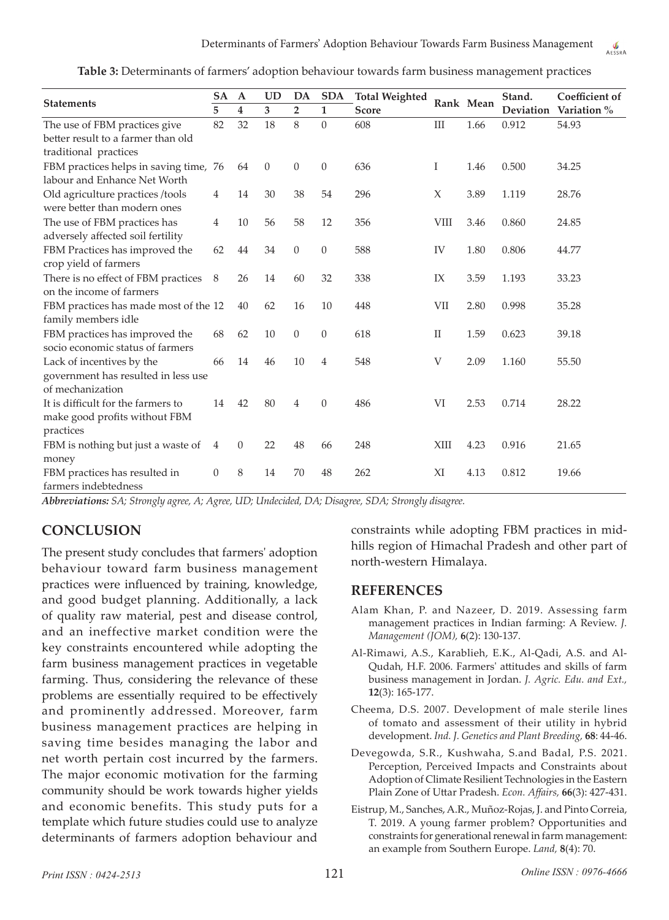| Table 3: Determinants of farmers' adoption behaviour towards farm business management practices |  |  |  |  |  |  |  |  |  |
|-------------------------------------------------------------------------------------------------|--|--|--|--|--|--|--|--|--|
|-------------------------------------------------------------------------------------------------|--|--|--|--|--|--|--|--|--|

| <b>Statements</b>                      |                | $\mathbf A$ | <b>UD</b> | DA               | <b>SDA</b>       | <b>Total Weighted</b> |             | Rank Mean | Stand.           | Coefficient of |
|----------------------------------------|----------------|-------------|-----------|------------------|------------------|-----------------------|-------------|-----------|------------------|----------------|
|                                        |                | 4           | 3         | $\overline{2}$   | 1                | <b>Score</b>          |             |           | <b>Deviation</b> | Variation %    |
| The use of FBM practices give          | 82             | 32          | 18        | 8                | $\Omega$         | 608                   | Ш           | 1.66      | 0.912            | 54.93          |
| better result to a farmer than old     |                |             |           |                  |                  |                       |             |           |                  |                |
| traditional practices                  |                |             |           |                  |                  |                       |             |           |                  |                |
| FBM practices helps in saving time, 76 |                | 64          | $\theta$  | $\theta$         | $\boldsymbol{0}$ | 636                   | Ι           | 1.46      | 0.500            | 34.25          |
| labour and Enhance Net Worth           |                |             |           |                  |                  |                       |             |           |                  |                |
| Old agriculture practices /tools       | 4              | 14          | 30        | 38               | 54               | 296                   | X           | 3.89      | 1.119            | 28.76          |
| were better than modern ones           |                |             |           |                  |                  |                       |             |           |                  |                |
| The use of FBM practices has           | 4              | 10          | 56        | 58               | 12               | 356                   | VIII        | 3.46      | 0.860            | 24.85          |
| adversely affected soil fertility      |                |             |           |                  |                  |                       |             |           |                  |                |
| FBM Practices has improved the         | 62             | 44          | 34        | $\boldsymbol{0}$ | $\boldsymbol{0}$ | 588                   | IV          | 1.80      | 0.806            | 44.77          |
| crop yield of farmers                  |                |             |           |                  |                  |                       |             |           |                  |                |
| There is no effect of FBM practices    | 8              | 26          | 14        | 60               | 32               | 338                   | IX          | 3.59      | 1.193            | 33.23          |
| on the income of farmers               |                |             |           |                  |                  |                       |             |           |                  |                |
| FBM practices has made most of the 12  |                | 40          | 62        | 16               | 10               | 448                   | VII         | 2.80      | 0.998            | 35.28          |
| family members idle                    |                |             |           |                  |                  |                       |             |           |                  |                |
| FBM practices has improved the         | 68             | 62          | 10        | $\boldsymbol{0}$ | $\mathbf{0}$     | 618                   | $_{\rm II}$ | 1.59      | 0.623            | 39.18          |
| socio economic status of farmers       |                |             |           |                  |                  |                       |             |           |                  |                |
| Lack of incentives by the              | 66             | 14          | 46        | 10               | 4                | 548                   | V           | 2.09      | 1.160            | 55.50          |
| government has resulted in less use    |                |             |           |                  |                  |                       |             |           |                  |                |
| of mechanization                       |                |             |           |                  |                  |                       |             |           |                  |                |
| It is difficult for the farmers to     | 14             | 42          | 80        | $\overline{4}$   | $\theta$         | 486                   | VI          | 2.53      | 0.714            | 28.22          |
| make good profits without FBM          |                |             |           |                  |                  |                       |             |           |                  |                |
| practices                              |                |             |           |                  |                  |                       |             |           |                  |                |
| FBM is nothing but just a waste of     | $\overline{4}$ | $\theta$    | 22        | 48               | 66               | 248                   | XIII        | 4.23      | 0.916            | 21.65          |
| money                                  |                |             |           |                  |                  |                       |             |           |                  |                |
| FBM practices has resulted in          | $\theta$       | 8           | 14        | 70               | 48               | 262                   | XI          | 4.13      | 0.812            | 19.66          |
| farmers indebtedness                   |                |             |           |                  |                  |                       |             |           |                  |                |

*Abbreviations: SA; Strongly agree, A; Agree, UD; Undecided, DA; Disagree, SDA; Strongly disagree.*

## **CONCLUSION**

The present study concludes that farmers' adoption behaviour toward farm business management practices were influenced by training, knowledge, and good budget planning. Additionally, a lack of quality raw material, pest and disease control, and an ineffective market condition were the key constraints encountered while adopting the farm business management practices in vegetable farming. Thus, considering the relevance of these problems are essentially required to be effectively and prominently addressed. Moreover, farm business management practices are helping in saving time besides managing the labor and net worth pertain cost incurred by the farmers. The major economic motivation for the farming community should be work towards higher yields and economic benefits. This study puts for a template which future studies could use to analyze determinants of farmers adoption behaviour and constraints while adopting FBM practices in midhills region of Himachal Pradesh and other part of north-western Himalaya.

#### **REFERENCES**

- Alam Khan, P. and Nazeer, D. 2019. Assessing farm management practices in Indian farming: A Review. *J. Management (JOM),* **6**(2): 130-137.
- Al-Rimawi, A.S., Karablieh, E.K., Al-Qadi, A.S. and Al-Qudah, H.F. 2006. Farmers' attitudes and skills of farm business management in Jordan. *J. Agric. Edu. and Ext.,* **12**(3): 165-177.
- Cheema, D.S. 2007. Development of male sterile lines of tomato and assessment of their utility in hybrid development. *Ind. J. Genetics and Plant Breeding,* **68**: 44-46.
- Devegowda, S.R., Kushwaha, S.and Badal, P.S. 2021. Perception, Perceived Impacts and Constraints about Adoption of Climate Resilient Technologies in the Eastern Plain Zone of Uttar Pradesh. *Econ. Affairs,* **66**(3): 427-431.
- Eistrup, M., Sanches, A.R., Muñoz-Rojas, J. and Pinto Correia, T. 2019. A young farmer problem? Opportunities and constraints for generational renewal in farm management: an example from Southern Europe. *Land,* **8**(4): 70.